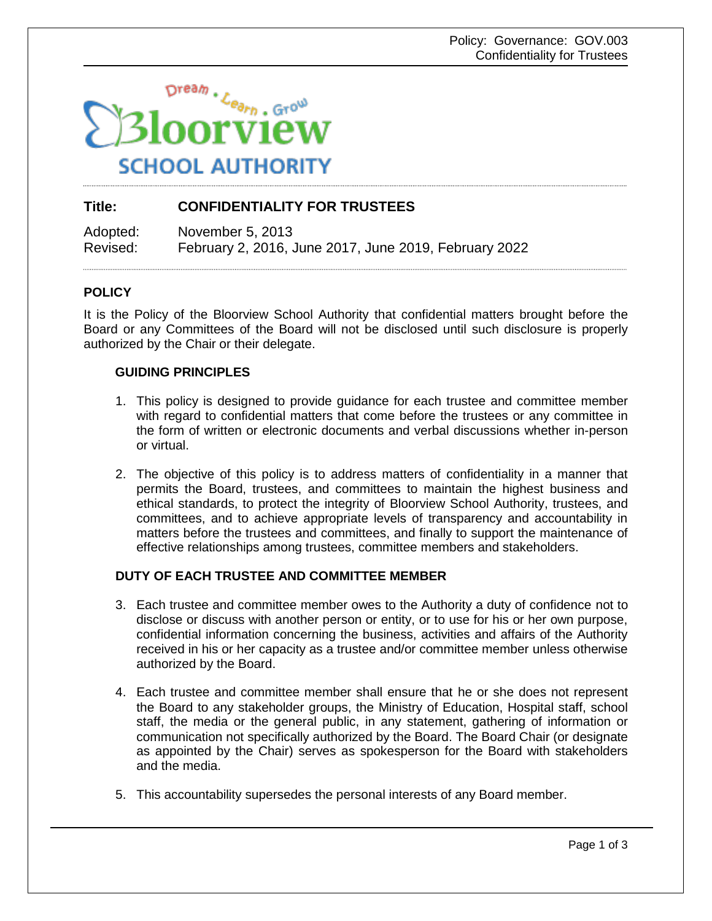

# **Title: CONFIDENTIALITY FOR TRUSTEES**

Adopted: November 5, 2013 Revised: February 2, 2016, June 2017, June 2019, February 2022

### **POLICY**

It is the Policy of the Bloorview School Authority that confidential matters brought before the Board or any Committees of the Board will not be disclosed until such disclosure is properly authorized by the Chair or their delegate.

### **GUIDING PRINCIPLES**

- 1. This policy is designed to provide guidance for each trustee and committee member with regard to confidential matters that come before the trustees or any committee in the form of written or electronic documents and verbal discussions whether in-person or virtual.
- 2. The objective of this policy is to address matters of confidentiality in a manner that permits the Board, trustees, and committees to maintain the highest business and ethical standards, to protect the integrity of Bloorview School Authority, trustees, and committees, and to achieve appropriate levels of transparency and accountability in matters before the trustees and committees, and finally to support the maintenance of effective relationships among trustees, committee members and stakeholders.

# **DUTY OF EACH TRUSTEE AND COMMITTEE MEMBER**

- 3. Each trustee and committee member owes to the Authority a duty of confidence not to disclose or discuss with another person or entity, or to use for his or her own purpose, confidential information concerning the business, activities and affairs of the Authority received in his or her capacity as a trustee and/or committee member unless otherwise authorized by the Board.
- 4. Each trustee and committee member shall ensure that he or she does not represent the Board to any stakeholder groups, the Ministry of Education, Hospital staff, school staff, the media or the general public, in any statement, gathering of information or communication not specifically authorized by the Board. The Board Chair (or designate as appointed by the Chair) serves as spokesperson for the Board with stakeholders and the media.
- 5. This accountability supersedes the personal interests of any Board member.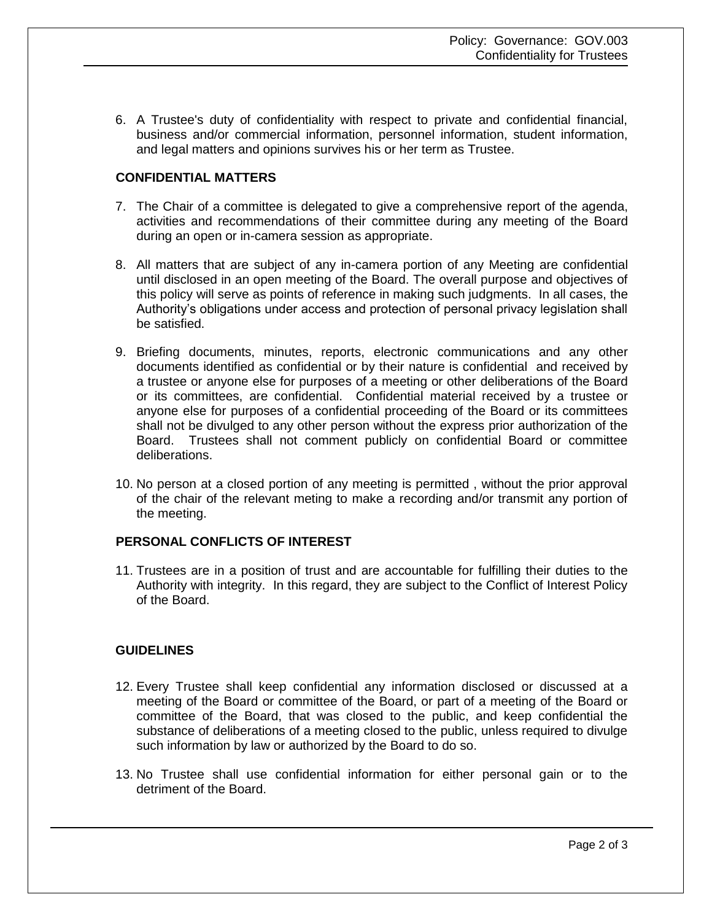6. A Trustee's duty of confidentiality with respect to private and confidential financial, business and/or commercial information, personnel information, student information, and legal matters and opinions survives his or her term as Trustee.

### **CONFIDENTIAL MATTERS**

- 7. The Chair of a committee is delegated to give a comprehensive report of the agenda, activities and recommendations of their committee during any meeting of the Board during an open or in-camera session as appropriate.
- 8. All matters that are subject of any in-camera portion of any Meeting are confidential until disclosed in an open meeting of the Board. The overall purpose and objectives of this policy will serve as points of reference in making such judgments. In all cases, the Authority's obligations under access and protection of personal privacy legislation shall be satisfied.
- 9. Briefing documents, minutes, reports, electronic communications and any other documents identified as confidential or by their nature is confidential and received by a trustee or anyone else for purposes of a meeting or other deliberations of the Board or its committees, are confidential. Confidential material received by a trustee or anyone else for purposes of a confidential proceeding of the Board or its committees shall not be divulged to any other person without the express prior authorization of the Board. Trustees shall not comment publicly on confidential Board or committee deliberations.
- 10. No person at a closed portion of any meeting is permitted , without the prior approval of the chair of the relevant meting to make a recording and/or transmit any portion of the meeting.

### **PERSONAL CONFLICTS OF INTEREST**

11. Trustees are in a position of trust and are accountable for fulfilling their duties to the Authority with integrity. In this regard, they are subject to the Conflict of Interest Policy of the Board.

### **GUIDELINES**

- 12. Every Trustee shall keep confidential any information disclosed or discussed at a meeting of the Board or committee of the Board, or part of a meeting of the Board or committee of the Board, that was closed to the public, and keep confidential the substance of deliberations of a meeting closed to the public, unless required to divulge such information by law or authorized by the Board to do so.
- 13. No Trustee shall use confidential information for either personal gain or to the detriment of the Board.